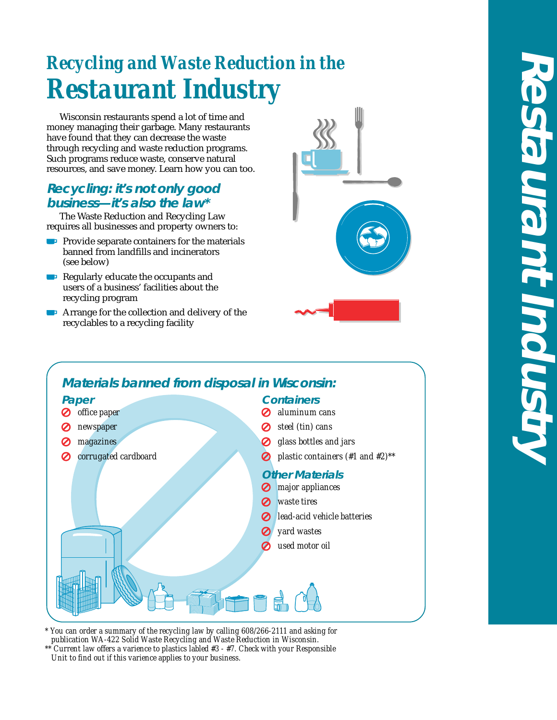# *Recycling and Waste Reduction in the Restaurant Industry*

Wisconsin restaurants spend a lot of time and money managing their garbage. Many restaurants have found that they can decrease the waste through recycling and waste reduction programs. Such programs reduce waste, conserve natural resources, and save money. Learn how you can too.

## **Recycling: it's not only good business—it's also the law\***

The Waste Reduction and Recycling Law requires all businesses and property owners to:

- **Provide separate containers for the materials** banned from landfills and incinerators (see below)
- Regularly educate the occupants and users of a business' facilities about the recycling program
- **Example 1** Arrange for the collection and delivery of the recyclables to a recycling facility







*\* You can order a summary of the recycling law by calling 608/266-2111 and asking for publication WA-422 Solid Waste Recycling and Waste Reduction in Wisconsin.*

*\*\* Current law offers a varience to plastics labled #3 - #7. Check with your Responsible Unit to find out if this varience applies to your business.*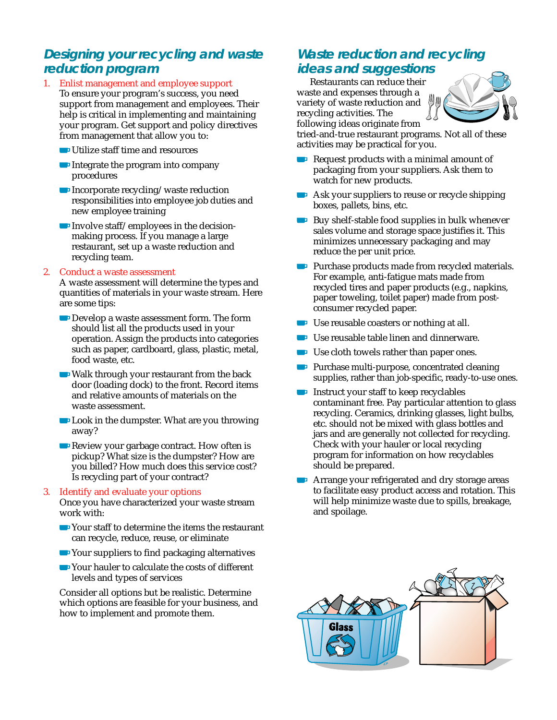# **Designing your recycling and waste reduction program**

- 1. Enlist management and employee support To ensure your program's success, you need support from management and employees. Their help is critical in implementing and maintaining your program. Get support and policy directives from management that allow you to:
	- Utilize staff time and resources
	- Integrate the program into company procedures
	- **Incorporate recycling/waste reduction** responsibilities into employee job duties and new employee training
	- Involve staff/employees in the decisionmaking process. If you manage a large restaurant, set up a waste reduction and recycling team.

#### 2. Conduct a waste assessment

A waste assessment will determine the types and quantities of materials in your waste stream. Here are some tips:

- Develop a waste assessment form. The form should list all the products used in your operation. Assign the products into categories such as paper, cardboard, glass, plastic, metal, food waste, etc.
- Walk through your restaurant from the back door (loading dock) to the front. Record items and relative amounts of materials on the waste assessment.
- **Look in the dumpster. What are you throwing** away?
- Review your garbage contract. How often is pickup? What size is the dumpster? How are you billed? How much does this service cost? Is recycling part of your contract?

### 3. Identify and evaluate your options

Once you have characterized your waste stream work with:

- Your staff to determine the items the restaurant can recycle, reduce, reuse, or eliminate
- **■** Your suppliers to find packaging alternatives
- Your hauler to calculate the costs of different levels and types of services

Consider all options but be realistic. Determine which options are feasible for your business, and how to implement and promote them.

# **Waste reduction and recycling ideas and suggestions**

Restaurants can reduce their waste and expenses through a variety of waste reduction and recycling activities. The following ideas originate from



tried-and-true restaurant programs. Not all of these activities may be practical for you.

- Request products with a minimal amount of packaging from your suppliers. Ask them to watch for new products.
- Ask your suppliers to reuse or recycle shipping boxes, pallets, bins, etc.
- Buy shelf-stable food supplies in bulk whenever sales volume and storage space justifies it. This minimizes unnecessary packaging and may reduce the per unit price.
- **Purchase products made from recycled materials.** For example, anti-fatigue mats made from recycled tires and paper products (e.g., napkins, paper toweling, toilet paper) made from postconsumer recycled paper.
- Use reusable coasters or nothing at all.
- Use reusable table linen and dinnerware.
- Use cloth towels rather than paper ones.
- **Purchase multi-purpose, concentrated cleaning** supplies, rather than job-specific, ready-to-use ones.
- **Instruct your staff to keep recyclables** contaminant free. Pay particular attention to glass recycling. Ceramics, drinking glasses, light bulbs, etc. should not be mixed with glass bottles and jars and are generally not collected for recycling. Check with your hauler or local recycling program for information on how recyclables should be prepared.
- **EXTERNATION PLATFERIOR CONTROLLER THE ATTENTION PROPERTY ATT** Arrange your refrigerated and dry storage areas to facilitate easy product access and rotation. This will help minimize waste due to spills, breakage, and spoilage.

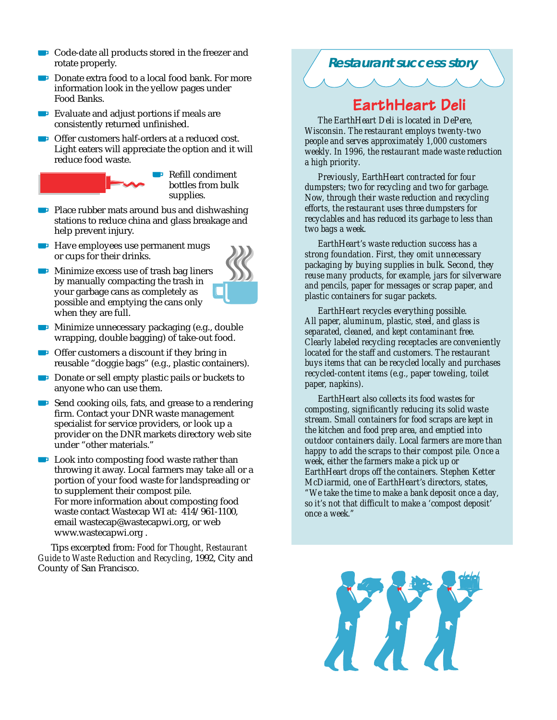- Code-date all products stored in the freezer and rotate properly.
- Donate extra food to a local food bank. For more **S** information look in the yellow pages under Food Banks.
- **Evaluate and adjust portions if meals are** consistently returned unfinished.
- Offer customers half-orders at a reduced cost. Light eaters will appreciate the option and it will reduce food waste.



**B** Refill condiment bottles from bulk supplies.

- Place rubber mats around bus and dishwashing **Sing** stations to reduce china and glass breakage and help prevent injury.
- **Have employees use permanent mugs** or cups for their drinks.
- **Minimize excess use of trash bag liners** by manually compacting the trash in your garbage cans as completely as possible and emptying the cans only when they are full.



- **Minimize unnecessary packaging (e.g., double** wrapping, double bagging) of take-out food.
- $\Box$  Offer customers a discount if they bring in reusable "doggie bags" (e.g., plastic containers).
- Donate or sell empty plastic pails or buckets to anyone who can use them.
- Send cooking oils, fats, and grease to a rendering firm. Contact your DNR waste management specialist for service providers, or look up a provider on the DNR markets directory web site under "other materials."
- **Look into composting food waste rather than** throwing it away. Local farmers may take all or a portion of your food waste for landspreading or to supplement their compost pile. For more information about composting food waste contact Wastecap WI at: 414/961-1100, email wastecap@wastecapwi.org, or web www.wastecapwi.org .

Tips excerpted from: *Food for Thought, Restaurant Guide to Waste Reduction and Recycling*, 1992, City and County of San Francisco.



# EarthHeart Deli

*The EarthHeart Deli is located in DePere, Wisconsin. The restaurant employs twenty-two people and serves approximately 1,000 customers weekly. In 1996, the restaurant made waste reduction a high priority.*

*Previously, EarthHeart contracted for four dumpsters; two for recycling and two for garbage. Now, through their waste reduction and recycling efforts, the restaurant uses three dumpsters for recyclables and has reduced its garbage to less than two bags a week.*

*EarthHeart's waste reduction success has a strong foundation. First, they omit unnecessary packaging by buying supplies in bulk. Second, they reuse many products, for example, jars for silverware and pencils, paper for messages or scrap paper, and plastic containers for sugar packets.*

*EarthHeart recycles everything possible. All paper, aluminum, plastic, steel, and glass is separated, cleaned, and kept contaminant free. Clearly labeled recycling receptacles are conveniently located for the staff and customers. The restaurant buys items that can be recycled locally and purchases recycled-content items (e.g., paper toweling, toilet paper, napkins).*

*EarthHeart also collects its food wastes for composting, significantly reducing its solid waste stream. Small containers for food scraps are kept in the kitchen and food prep area, and emptied into outdoor containers daily. Local farmers are more than happy to add the scraps to their compost pile. Once a week, either the farmers make a pick up or EarthHeart drops off the containers. Stephen Ketter McDiarmid, one of EarthHeart's directors, states, "We take the time to make a bank deposit once a day, so it's not that difficult to make a 'compost deposit' once a week."*